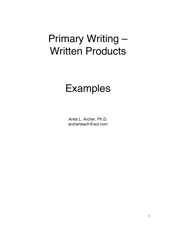# Primary Writing – Written Products

# Examples

Anita L. Archer, Ph.D. archerteach@aol.com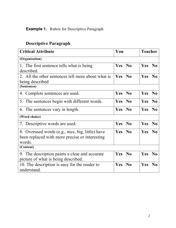#### **Example 1.** Rubric for Descriptive Paragraph

#### **Critical Attribute Teacher** Vou Reacher **(Organization)** 1. The first sentence tells what is being described. **Yes No Yes No** 2. All the other sentences tell more about what is being described **Yes No Yes No (Sentences)** 4. Complete sentences are used. **Yes No Yes No** 5. The sentences begin with different words. **Yes No Yes No** 6. The sentences vary in length. **Yes No Yes No (Word choice)** 7. Descriptive words are used. **Yes No Yes No** 8. Overused words (e.g., nice, big, little) have been replaced with more precise or interesting words. **Yes No Yes No (Content)** 9. The description paints a clear and accurate picture of what is being described. **Yes No Yes No** 10. The description is easy for the reader to understand. **Yes No Yes No**

#### **Descriptive Paragraph**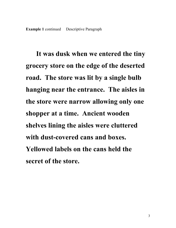**It was dusk when we entered the tiny grocery store on the edge of the deserted road. The store was lit by a single bulb hanging near the entrance. The aisles in the store were narrow allowing only one shopper at a time. Ancient wooden shelves lining the aisles were cluttered with dust-covered cans and boxes. Yellowed labels on the cans held the secret of the store.**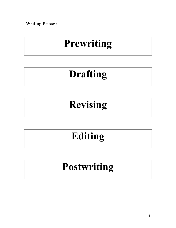**Writing Process** 

# **Prewriting**

# **Drafting**

# **Revising**

# **Editing**

# **Postwriting**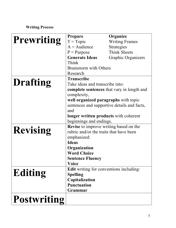### **Writing Process**

|                    | <b>Prepare</b>                              | Organize                                          |
|--------------------|---------------------------------------------|---------------------------------------------------|
| Prewriting         | $T = Topic$                                 | <b>Writing Frames</b>                             |
|                    | $A = \text{Audience}$                       | <b>Strategies</b>                                 |
|                    | $P =$ Purpose                               | <b>Think Sheets</b>                               |
|                    | <b>Generate Ideas</b>                       | Graphic Organizers                                |
|                    | Think                                       |                                                   |
|                    | <b>Brainstorm</b> with Others               |                                                   |
|                    | Research                                    |                                                   |
|                    | <b>Transcribe</b>                           |                                                   |
| <b>Drafting</b>    | Take ideas and transcribe into:             |                                                   |
|                    |                                             | <b>complete sentences</b> that vary in length and |
|                    | complexity,                                 |                                                   |
|                    | well organized paragraphs with topic        |                                                   |
|                    | sentences and supportive details and facts, |                                                   |
|                    | and                                         |                                                   |
|                    | longer written products with coherent       |                                                   |
|                    | beginnings and endings.                     |                                                   |
|                    | Revise to improve writing based on the      |                                                   |
| <b>Revising</b>    | rubric and/or the traits that have been     |                                                   |
|                    | emphasized:                                 |                                                   |
|                    | <b>Ideas</b>                                |                                                   |
|                    | Organization                                |                                                   |
|                    | <b>Word Choice</b>                          |                                                   |
|                    | <b>Sentence Fluency</b>                     |                                                   |
|                    | Voice                                       |                                                   |
|                    | Edit writing for conventions including:     |                                                   |
| Editing            | <b>Spelling</b>                             |                                                   |
|                    | Capitalization                              |                                                   |
|                    | <b>Punctuation</b>                          |                                                   |
|                    | Grammar                                     |                                                   |
| <b>Postwriting</b> |                                             |                                                   |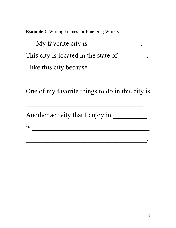**Example 2**: Writing Frames for Emerging Writers

| My favorite city is                  |  |
|--------------------------------------|--|
| This city is located in the state of |  |
| I like this city because             |  |

One of my favorite things to do in this city is

\_\_\_\_\_\_\_\_\_\_\_\_\_\_\_\_\_\_\_\_\_\_\_\_\_\_\_\_\_\_\_\_\_\_.

\_\_\_\_\_\_\_\_\_\_\_\_\_\_\_\_\_\_\_\_\_\_\_\_\_\_\_\_\_\_\_\_\_\_.

 $\mathcal{L}_\text{max}$  , and the contract of the contract of the contract of the contract of the contract of the contract of the contract of the contract of the contract of the contract of the contract of the contract of the contr

Another activity that I enjoy in \_\_\_\_\_\_\_\_\_\_

is \_\_\_\_\_\_\_\_\_\_\_\_\_\_\_\_\_\_\_\_\_\_\_\_\_\_\_\_\_\_\_\_\_\_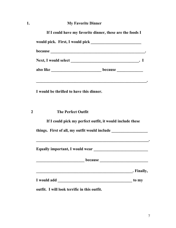### **1. My Favorite Dinner**

|                                          | also like ___________________________________because ___________________________                                                                                                                    |
|------------------------------------------|-----------------------------------------------------------------------------------------------------------------------------------------------------------------------------------------------------|
| I would be thrilled to have this dinner. |                                                                                                                                                                                                     |
|                                          | <b>The Perfect Outfit</b>                                                                                                                                                                           |
|                                          |                                                                                                                                                                                                     |
|                                          | If I could pick my perfect outfit, it would include these                                                                                                                                           |
|                                          |                                                                                                                                                                                                     |
|                                          | things. First of all, my outfit would include __________________________________<br>. The contract of the contract of the contract of the contract of the contract of the contract of $\mathcal{A}$ |
|                                          | . Finally,                                                                                                                                                                                          |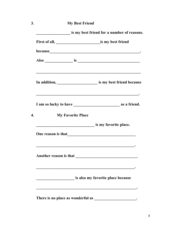| <b>My Best Friend</b>                      |                                                                                                                      |  |
|--------------------------------------------|----------------------------------------------------------------------------------------------------------------------|--|
| is my best friend for a number of reasons. |                                                                                                                      |  |
|                                            |                                                                                                                      |  |
|                                            |                                                                                                                      |  |
|                                            |                                                                                                                      |  |
|                                            |                                                                                                                      |  |
|                                            |                                                                                                                      |  |
|                                            |                                                                                                                      |  |
|                                            | is my favorite place.                                                                                                |  |
|                                            |                                                                                                                      |  |
|                                            | <u> 1950 - Johann John Stoff, amerikan besteckte statistik i den statistik i den statistik i den statistik i den</u> |  |
|                                            | is also my favorite place because                                                                                    |  |
|                                            | <b>My Favorite Place</b><br>One reason is that                                                                       |  |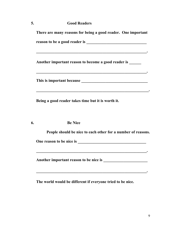|    | There are many reasons for being a good reader. One important                                                   |
|----|-----------------------------------------------------------------------------------------------------------------|
|    |                                                                                                                 |
|    |                                                                                                                 |
|    | Another important reason to become a good reader is                                                             |
|    | . The contract of the contract of the contract of the contract of the contract of the contract of $\mathcal{A}$ |
|    |                                                                                                                 |
|    | Being a good reader takes time but it is worth it.                                                              |
| 6. | <b>Be Nice</b>                                                                                                  |
|    | People should be nice to each other for a number of reasons.                                                    |
|    |                                                                                                                 |
|    |                                                                                                                 |
|    |                                                                                                                 |

**The world would be different if everyone tried to be nice.**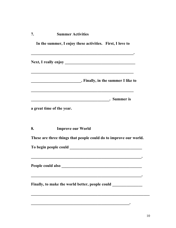| 7. | <b>Summer Activities</b> |
|----|--------------------------|
|    |                          |

|    | In the summer, I enjoy these activities. First, I love to                                                                                                  |
|----|------------------------------------------------------------------------------------------------------------------------------------------------------------|
|    |                                                                                                                                                            |
|    | <u> 1990 - 1991 - 1992 - 1993 - 1994 - 1995 - 1996 - 1997 - 1998 - 1999 - 1999 - 1999 - 1999 - 1999 - 1999 - 199</u><br>. Finally, in the summer I like to |
|    | <b>Example 2018</b> Summer is                                                                                                                              |
|    | a great time of the year.                                                                                                                                  |
| 8. | <b>Improve our World</b>                                                                                                                                   |
|    | These are three things that people could do to improve our world.                                                                                          |
|    |                                                                                                                                                            |
|    | <u> 1990 - 1990 - 1990 - 1990 - 1990 - 1990 - 1990 - 1990 - 1990 - 1990 - 1990 - 1990 - 1990 - 1990 - 1990 - 1990</u><br>People could also                 |
|    | Finally, to make the world better, people could _________________________________                                                                          |
|    |                                                                                                                                                            |

**\_\_\_\_\_\_\_\_\_\_\_\_\_\_\_\_\_\_\_\_\_\_\_\_\_\_\_\_\_\_\_\_\_\_\_\_\_\_\_\_\_\_\_\_\_\_\_\_\_.**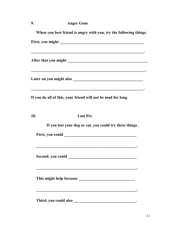### **9. Anger Gone**

|     | When you best friend is angry with you, try the following things. |
|-----|-------------------------------------------------------------------|
|     |                                                                   |
|     |                                                                   |
|     |                                                                   |
|     | If you do all of this, your friend will not be mad for long.      |
| 10. | <b>Lost Pet</b>                                                   |
|     | If you lost your dog or cat, you could try these things.          |
|     |                                                                   |
|     | Second, you could                                                 |
|     |                                                                   |
|     | Third, you could also                                             |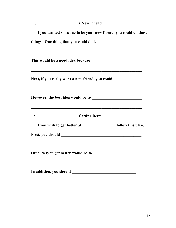#### **11. A New Friend**

|    | If you wanted someone to be your new friend, you could do these                   |
|----|-----------------------------------------------------------------------------------|
|    |                                                                                   |
|    |                                                                                   |
|    | Next, if you really want a new friend, you could ________________________________ |
|    |                                                                                   |
| 12 | <b>Getting Better</b>                                                             |
|    | If you wish to get better at _______________, follow this plan.                   |
|    |                                                                                   |
|    |                                                                                   |
|    |                                                                                   |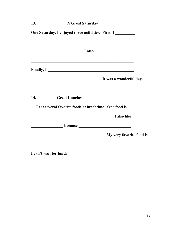| 13. | <b>A Great Saturday</b>                                                                                                              |
|-----|--------------------------------------------------------------------------------------------------------------------------------------|
|     | One Saturday, I enjoyed three activities. First, I                                                                                   |
|     | $\overline{\phantom{a}}$ $I$ also $\overline{\phantom{a}}$                                                                           |
|     | Finally, I<br><u>La Espanya (a set ali est a set ali est a set ali est a set ali est a set ali est a set ali est a set ali est a</u> |
|     |                                                                                                                                      |
| 14. | <b>Great Lunches</b>                                                                                                                 |
|     | I eat several favorite foods at lunchtime. One food is                                                                               |
|     | <b>Example 2</b> I also like                                                                                                         |
|     |                                                                                                                                      |
|     |                                                                                                                                      |
|     |                                                                                                                                      |

**I can't wait for lunch!**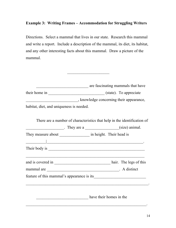#### **Example 3: Writing Frames – Accommodation for Struggling Writers**

Directions. Select a mammal that lives in our state. Research this mammal and write a report. Include a description of the mammal, its diet, its habitat, and any other interesting facts about this mammal. Draw a picture of the mammal.

|                                                                                                                                                                                                                                                                                                                                                                                                                                   |                         | are fascinating mammals that have |
|-----------------------------------------------------------------------------------------------------------------------------------------------------------------------------------------------------------------------------------------------------------------------------------------------------------------------------------------------------------------------------------------------------------------------------------|-------------------------|-----------------------------------|
|                                                                                                                                                                                                                                                                                                                                                                                                                                   |                         |                                   |
| knowledge concerning their appearance,                                                                                                                                                                                                                                                                                                                                                                                            |                         |                                   |
| habitat, diet, and uniqueness is needed.                                                                                                                                                                                                                                                                                                                                                                                          |                         |                                   |
| There are a number of characteristics that help in the identification of                                                                                                                                                                                                                                                                                                                                                          |                         |                                   |
| $\frac{1}{\sqrt{1-\frac{1}{\sqrt{1-\frac{1}{\sqrt{1-\frac{1}{\sqrt{1-\frac{1}{\sqrt{1-\frac{1}{\sqrt{1-\frac{1}{\sqrt{1-\frac{1}{\sqrt{1-\frac{1}{\sqrt{1-\frac{1}{\sqrt{1-\frac{1}{\sqrt{1-\frac{1}{\sqrt{1-\frac{1}{\sqrt{1-\frac{1}{\sqrt{1-\frac{1}{\sqrt{1-\frac{1}{\sqrt{1-\frac{1}{\sqrt{1-\frac{1}{\sqrt{1-\frac{1}{\sqrt{1-\frac{1}{\sqrt{1-\frac{1}{\sqrt{1-\frac{1}{\sqrt{1-\frac{1}{\sqrt{1-\frac{1}{\sqrt{1-\frac{1$ |                         |                                   |
| They measure about _____________________ in height. Their head is                                                                                                                                                                                                                                                                                                                                                                 |                         |                                   |
| <u> 1989 - Johann Barn, mars ann an t-Amhainn an t-Amhainn an t-Amhainn an t-Amhainn an t-Amhainn an t-Amhainn a</u>                                                                                                                                                                                                                                                                                                              |                         |                                   |
|                                                                                                                                                                                                                                                                                                                                                                                                                                   |                         |                                   |
|                                                                                                                                                                                                                                                                                                                                                                                                                                   |                         |                                   |
|                                                                                                                                                                                                                                                                                                                                                                                                                                   |                         |                                   |
|                                                                                                                                                                                                                                                                                                                                                                                                                                   |                         |                                   |
|                                                                                                                                                                                                                                                                                                                                                                                                                                   |                         |                                   |
|                                                                                                                                                                                                                                                                                                                                                                                                                                   | have their homes in the |                                   |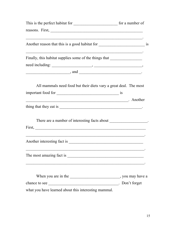| reasons. First,                                                                                                 |  |
|-----------------------------------------------------------------------------------------------------------------|--|
|                                                                                                                 |  |
| Finally, this habitat supplies some of the things that __________________________                               |  |
|                                                                                                                 |  |
| $\frac{1}{2}$ and $\frac{1}{2}$ and $\frac{1}{2}$                                                               |  |
| All mammals need food but their diets vary a great deal. The most                                               |  |
| Another Manual Andrew Manual Another Manual Another Manual Another Manual Another Manual Another Manual Another |  |
| There are a number of interesting facts about ___________________.                                              |  |
|                                                                                                                 |  |
|                                                                                                                 |  |
|                                                                                                                 |  |
|                                                                                                                 |  |
| what you have learned about this interesting mammal.                                                            |  |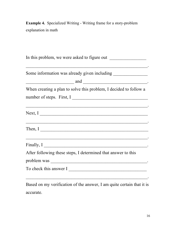**Example 4.** Specialized Writing - Writing frame for a story-problem explanation in math

| Some information was already given including ___________________________________                                                                                                                                                                                                              |
|-----------------------------------------------------------------------------------------------------------------------------------------------------------------------------------------------------------------------------------------------------------------------------------------------|
| $\frac{1}{2}$ and $\frac{1}{2}$ and $\frac{1}{2}$ and $\frac{1}{2}$ and $\frac{1}{2}$ and $\frac{1}{2}$ and $\frac{1}{2}$ and $\frac{1}{2}$ and $\frac{1}{2}$ and $\frac{1}{2}$ and $\frac{1}{2}$ and $\frac{1}{2}$ and $\frac{1}{2}$ and $\frac{1}{2}$ and $\frac{1}{2}$ and $\frac{1}{2}$ a |
| When creating a plan to solve this problem, I decided to follow a                                                                                                                                                                                                                             |
| number of steps. First, I                                                                                                                                                                                                                                                                     |
| Next, I                                                                                                                                                                                                                                                                                       |
| Then, I                                                                                                                                                                                                                                                                                       |
| Finally, I                                                                                                                                                                                                                                                                                    |
| After following these steps, I determined that answer to this                                                                                                                                                                                                                                 |
|                                                                                                                                                                                                                                                                                               |
| To check this answer I                                                                                                                                                                                                                                                                        |
|                                                                                                                                                                                                                                                                                               |

Based on my verification of the answer, I am quite certain that it is accurate.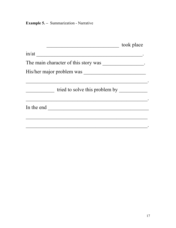**Example 5.** – Summarization - Narrative

| The main character of this story was ________________. |
|--------------------------------------------------------|
|                                                        |
|                                                        |
| His/her major problem was                              |
|                                                        |
| tried to solve this problem by                         |
|                                                        |
|                                                        |
|                                                        |
|                                                        |
|                                                        |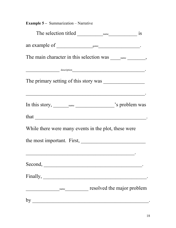| <b>Example 5 – Summarization – Narrative</b>         |                            |  |
|------------------------------------------------------|----------------------------|--|
|                                                      |                            |  |
|                                                      |                            |  |
|                                                      |                            |  |
| $\overline{\phantom{a}}$ description                 |                            |  |
| The primary setting of this story was                |                            |  |
|                                                      |                            |  |
|                                                      |                            |  |
|                                                      |                            |  |
| While there were many events in the plot, these were |                            |  |
|                                                      |                            |  |
|                                                      |                            |  |
| Second,                                              |                            |  |
|                                                      |                            |  |
|                                                      | resolved the major problem |  |
| by                                                   |                            |  |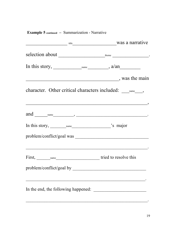| was a narrative                                                                                                                                                                                                                                                                                                                                                                                                             |                     |
|-----------------------------------------------------------------------------------------------------------------------------------------------------------------------------------------------------------------------------------------------------------------------------------------------------------------------------------------------------------------------------------------------------------------------------|---------------------|
|                                                                                                                                                                                                                                                                                                                                                                                                                             |                     |
|                                                                                                                                                                                                                                                                                                                                                                                                                             |                     |
|                                                                                                                                                                                                                                                                                                                                                                                                                             | $\sim$ was the main |
|                                                                                                                                                                                                                                                                                                                                                                                                                             |                     |
| and $\frac{1}{\sqrt{1-\frac{1}{2}}}\frac{1}{\sqrt{1-\frac{1}{2}}}\frac{1}{\sqrt{1-\frac{1}{2}}}\frac{1}{\sqrt{1-\frac{1}{2}}}\frac{1}{\sqrt{1-\frac{1}{2}}}\frac{1}{\sqrt{1-\frac{1}{2}}}\frac{1}{\sqrt{1-\frac{1}{2}}}\frac{1}{\sqrt{1-\frac{1}{2}}}\frac{1}{\sqrt{1-\frac{1}{2}}}\frac{1}{\sqrt{1-\frac{1}{2}}}\frac{1}{\sqrt{1-\frac{1}{2}}}\frac{1}{\sqrt{1-\frac{1}{2}}}\frac{1}{\sqrt{1-\frac{1}{2}}}\frac{1}{\sqrt{$ |                     |
|                                                                                                                                                                                                                                                                                                                                                                                                                             |                     |
| problem/conflict/goal was                                                                                                                                                                                                                                                                                                                                                                                                   |                     |
| First, <u>name</u> name tried to resolve this                                                                                                                                                                                                                                                                                                                                                                               |                     |
|                                                                                                                                                                                                                                                                                                                                                                                                                             |                     |
|                                                                                                                                                                                                                                                                                                                                                                                                                             |                     |

### **Example 5 continued –** Summarization - Narrative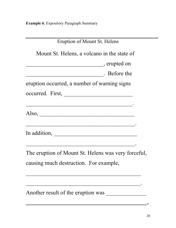**Example 6.** Expository Paragraph Summary

| Eruption of Mount St. Helens                                                                                          |
|-----------------------------------------------------------------------------------------------------------------------|
|                                                                                                                       |
| Mount St. Helens, a volcano in the state of                                                                           |
| erupted on                                                                                                            |
| Before the                                                                                                            |
| eruption occurred, a number of warning signs                                                                          |
|                                                                                                                       |
|                                                                                                                       |
| $Also, \_\_$                                                                                                          |
| <u>e de la construcción de la construcción de la construcción de la construcción de la construcción de la constru</u> |
|                                                                                                                       |
|                                                                                                                       |
| The eruption of Mount St. Helens was very forceful,                                                                   |
| causing much destruction. For example,                                                                                |
|                                                                                                                       |
|                                                                                                                       |
| Another result of the eruption was                                                                                    |

**\_\_\_\_\_\_\_\_\_\_\_\_\_\_\_\_\_\_\_\_\_\_\_\_\_\_\_\_\_\_\_\_\_\_\_\_\_\_\_\_\_\_.**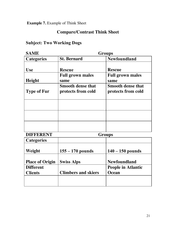**Example 7.** Example of Think Sheet

### **Compare/Contrast Think Sheet**

### **Subject: Two Working Dogs**

| <b>SAME</b>        | <b>Groups</b>                                  |                                                |
|--------------------|------------------------------------------------|------------------------------------------------|
| <b>Categories</b>  | <b>St. Bernard</b>                             | <b>Newfoundland</b>                            |
| <b>Use</b>         | <b>Rescue</b>                                  | <b>Rescue</b>                                  |
| Height             | <b>Full grown males</b><br>same                | <b>Full grown males</b><br>same                |
| <b>Type of Fur</b> | <b>Smooth dense that</b><br>protects from cold | <b>Smooth dense that</b><br>protects from cold |
|                    |                                                |                                                |
|                    |                                                |                                                |
|                    |                                                |                                                |

## **DIFFERENT Groups**

| <b>Categories</b>      |                            |                           |
|------------------------|----------------------------|---------------------------|
| Weight                 | $155 - 170$ pounds         | $140 - 150$ pounds        |
| <b>Place of Origin</b> | <b>Swiss Alps</b>          | <b>Newfoundland</b>       |
| <b>Different</b>       |                            | <b>People in Atlantic</b> |
| <b>Clients</b>         | <b>Climbers and skiers</b> | <b>Ocean</b>              |
|                        |                            |                           |
|                        |                            |                           |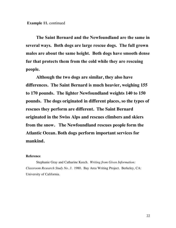**The Saint Bernard and the Newfoundland are the same in several ways. Both dogs are large rescue dogs. The full grown males are about the same height. Both dogs have smooth dense fur that protects them from the cold while they are rescuing people.**

**Although the two dogs are similar, they also have differences. The Saint Bernard is much heavier, weighing 155 to 170 pounds. The lighter Newfoundland weights 140 to 150 pounds. The dogs originated in different places, so the types of rescues they perform are different. The Saint Bernard originated in the Swiss Alps and rescues climbers and skiers from the snow. The Newfoundland rescues people form the Atlantic Ocean. Both dogs perform important services for mankind.**

#### **Reference**

Stephanie Gray and Catharine Keech. *Writing from Given Information: Classroom Research Study No. 3.* 1980. Bay Area Writing Project. Berkeley, CA: University of California.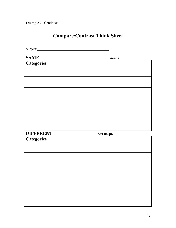**Example 7.** Continued

# **Compare/Contrast Think Sheet**

Subject:

| <b>SAME</b>       |               | Groups |
|-------------------|---------------|--------|
| Categories        |               |        |
|                   |               |        |
|                   |               |        |
|                   |               |        |
|                   |               |        |
|                   |               |        |
|                   |               |        |
|                   |               |        |
|                   |               |        |
|                   |               |        |
|                   |               |        |
|                   |               |        |
| <b>DIFFERENT</b>  |               |        |
|                   | <b>Groups</b> |        |
| <b>Categories</b> |               |        |
|                   |               |        |
|                   |               |        |
|                   |               |        |
|                   |               |        |
|                   |               |        |
|                   |               |        |
|                   |               |        |
|                   |               |        |
|                   |               |        |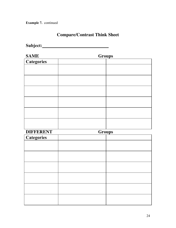**Example 7.** continued

### **Compare/Contrast Think Sheet**

**Subject:**

**SAME Groups**

| <b>Categories</b> |  |
|-------------------|--|
|                   |  |
|                   |  |
|                   |  |
|                   |  |
|                   |  |
|                   |  |
|                   |  |
|                   |  |
|                   |  |
|                   |  |
|                   |  |
|                   |  |

| <b>DIFFERENT</b>  | <b>Groups</b> |  |
|-------------------|---------------|--|
| <b>Categories</b> |               |  |
|                   |               |  |
|                   |               |  |
|                   |               |  |
|                   |               |  |
|                   |               |  |
|                   |               |  |
|                   |               |  |
|                   |               |  |
|                   |               |  |
|                   |               |  |
|                   |               |  |
|                   |               |  |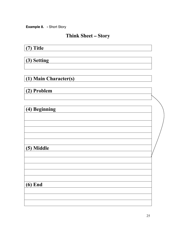**Example 8. -** Short Story

# **Think Sheet – Story**

## **(7) Title**

**(3) Setting**

**(1) Main Character(s)**

**(2) Problem**

| (4) Beginning |  |
|---------------|--|
|               |  |
|               |  |
|               |  |
|               |  |
| (5) Middle    |  |
|               |  |
|               |  |
|               |  |
|               |  |
| $(6)$ End     |  |
|               |  |
|               |  |
|               |  |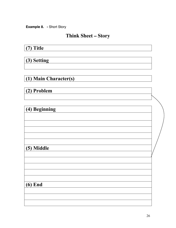**Example 8. -** Short Story

# **Think Sheet – Story**

## **(7) Title**

## **(3) Setting**

# **(1) Main Character(s)**

## **(2) Problem**

| (4) Beginning |  |
|---------------|--|
|               |  |
|               |  |
|               |  |
|               |  |
|               |  |
| (5) Middle    |  |
|               |  |
|               |  |
|               |  |
|               |  |
|               |  |
| $(6)$ End     |  |
|               |  |
|               |  |
|               |  |
|               |  |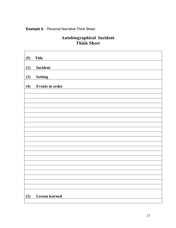#### **Example 9.** - Personal Narrative Think Sheet

#### **Autobiographical Incident Think Sheet**

| (5) | <b>Title</b>           |  |  |  |
|-----|------------------------|--|--|--|
| (1) | Incident               |  |  |  |
| (3) | <b>Setting</b>         |  |  |  |
| (4) | <b>Events in order</b> |  |  |  |
|     |                        |  |  |  |
|     |                        |  |  |  |
|     |                        |  |  |  |
|     |                        |  |  |  |
|     |                        |  |  |  |
|     |                        |  |  |  |
|     |                        |  |  |  |
|     |                        |  |  |  |
|     |                        |  |  |  |
|     |                        |  |  |  |
|     |                        |  |  |  |
|     |                        |  |  |  |
|     |                        |  |  |  |
|     |                        |  |  |  |
|     |                        |  |  |  |
|     |                        |  |  |  |
|     |                        |  |  |  |
|     |                        |  |  |  |
|     |                        |  |  |  |
|     |                        |  |  |  |
|     |                        |  |  |  |
| (2) | <b>Lesson</b> learned  |  |  |  |
|     |                        |  |  |  |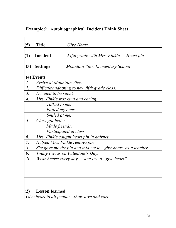## **Example 9. Autobiographical Incident Think Sheet**

| (5)              | <b>Title</b>                                                  | Give Heart                                      |  |  |
|------------------|---------------------------------------------------------------|-------------------------------------------------|--|--|
|                  |                                                               |                                                 |  |  |
| (1)              | Incident                                                      | Fifth grade with Mrs. Finkle -- Heart pin       |  |  |
|                  |                                                               |                                                 |  |  |
| (3)              | <b>Settings</b>                                               | Mountain View Elementary School                 |  |  |
|                  |                                                               |                                                 |  |  |
|                  | (4) Events                                                    |                                                 |  |  |
| $\mathcal{I}.$   | Arrive at Mountain View.                                      |                                                 |  |  |
| 2.               | Difficulty adapting to new fifth grade class.                 |                                                 |  |  |
| 3.               | Decided to be silent.                                         |                                                 |  |  |
| $\overline{4}$ . | Mrs. Finkle was kind and caring.                              |                                                 |  |  |
|                  |                                                               | Talked to me.                                   |  |  |
|                  |                                                               | Patted my back.                                 |  |  |
|                  |                                                               | Smiled at me.                                   |  |  |
| 5.               | Class got better.                                             |                                                 |  |  |
|                  |                                                               | Made friends.                                   |  |  |
|                  |                                                               | Participated in class.                          |  |  |
| 6.               |                                                               | Mrs. Finkle caught heart pin in hairnet.        |  |  |
| 7.               |                                                               | Helped Mrs. Finkle remove pin.                  |  |  |
| 8.               | She gave me the pin and told me to "give heart" as a teacher. |                                                 |  |  |
| 9.               | Today I wear on Valentine's Day.                              |                                                 |  |  |
| 10.              |                                                               | Wear hearts every day  and try to "give heart". |  |  |
|                  |                                                               |                                                 |  |  |
|                  |                                                               |                                                 |  |  |
|                  |                                                               |                                                 |  |  |
|                  |                                                               |                                                 |  |  |
|                  |                                                               |                                                 |  |  |
|                  | <b>Lesson learned</b>                                         |                                                 |  |  |
|                  |                                                               | Give heart to all people. Show love and care.   |  |  |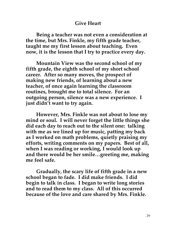#### **Give Heart**

**Being a teacher was not even a consideration at the time, but Mrs. Finkle, my fifth grade teacher, taught me my first lesson about teaching. Even now, it is the lesson that I try to practice every day.**

**Mountain View was the second school of my fifth grade, the eighth school of my short school career. After so many moves, the prospect of making new friends, of learning about a new teacher, of once again learning the classroom routines, brought me to total silence. For an outgoing person, silence was a new experience. I just didn't want to try again.**

**However, Mrs. Finkle was not about to lose my mind or soul. I will never forget the little things she did each day to reach out to the silent one: talking with me as we lined up for music, patting my back as I worked on math problems, quietly praising my efforts, writing comments on my papers. Best of all, when I was reading or working, I would look up and there would be her smile…greeting me, making me feel safe.**

**Gradually, the scary life of fifth grade in a new school began to fade. I did make friends. I did begin to talk in class. I began to write long stories and to read them to my class. All of this occurred because of the love and care shared by Mrs. Finkle.**